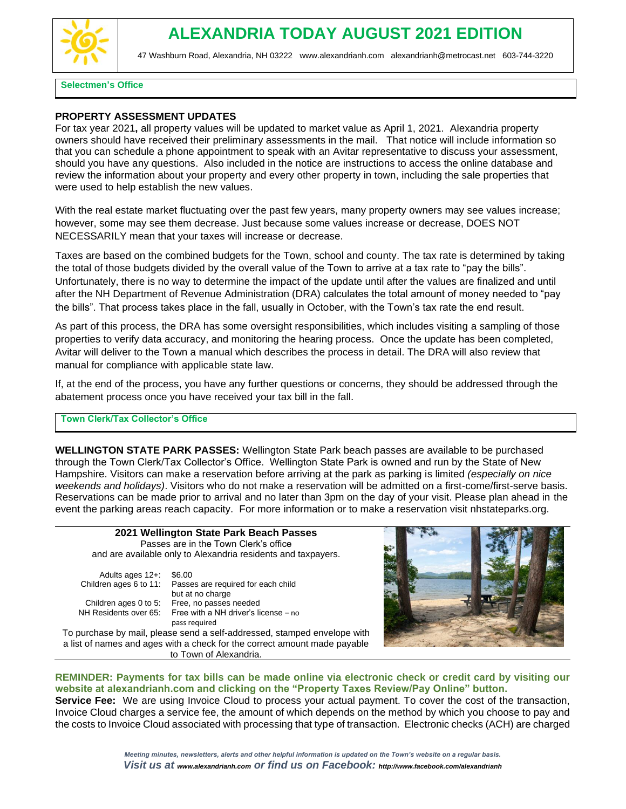

### **Selectmen's Office**

### **PROPERTY ASSESSMENT UPDATES**

For tax year 2021**,** all property values will be updated to market value as April 1, 2021. Alexandria property owners should have received their preliminary assessments in the mail. That notice will include information so that you can schedule a phone appointment to speak with an Avitar representative to discuss your assessment, should you have any questions. Also included in the notice are instructions to access the online database and review the information about your property and every other property in town, including the sale properties that were used to help establish the new values.

With the real estate market fluctuating over the past few years, many property owners may see values increase; however, some may see them decrease. Just because some values increase or decrease, DOES NOT NECESSARILY mean that your taxes will increase or decrease.

Taxes are based on the combined budgets for the Town, school and county. The tax rate is determined by taking the total of those budgets divided by the overall value of the Town to arrive at a tax rate to "pay the bills". Unfortunately, there is no way to determine the impact of the update until after the values are finalized and until after the NH Department of Revenue Administration (DRA) calculates the total amount of money needed to "pay the bills". That process takes place in the fall, usually in October, with the Town's tax rate the end result.

As part of this process, the DRA has some oversight responsibilities, which includes visiting a sampling of those properties to verify data accuracy, and monitoring the hearing process. Once the update has been completed, Avitar will deliver to the Town a manual which describes the process in detail. The DRA will also review that manual for compliance with applicable state law.

If, at the end of the process, you have any further questions or concerns, they should be addressed through the abatement process once you have received your tax bill in the fall.

### **Town Clerk/Tax Collector's Office**

**WELLINGTON STATE PARK PASSES:** Wellington State Park beach passes are available to be purchased through the Town Clerk/Tax Collector's Office. Wellington State Park is owned and run by the State of New Hampshire. Visitors can make a reservation before arriving at the park as parking is limited *(especially on nice weekends and holidays)*. Visitors who do not make a reservation will be admitted on a first-come/first-serve basis. Reservations can be made prior to arrival and no later than 3pm on the day of your visit. Please plan ahead in the event the parking areas reach capacity. For more information or to make a reservation visit nhstateparks.org.

| 2021 Wellington State Park Beach Passes                       |                                       |  |  |  |
|---------------------------------------------------------------|---------------------------------------|--|--|--|
|                                                               | Passes are in the Town Clerk's office |  |  |  |
| and are available only to Alexandria residents and taxpayers. |                                       |  |  |  |
|                                                               |                                       |  |  |  |
| Adults ages $12 + 1$ \$6.00                                   |                                       |  |  |  |

|  | .                     |  |
|--|-----------------------|--|
|  | Children ages 0 to 5: |  |
|  | NH Residents over 65: |  |

Children ages 6 to 11: Passes are required for each child but at no charge Free, no passes needed Free with a NH driver's license – no pass required

To purchase by mail, please send a self-addressed, stamped envelope with a list of names and ages with a check for the correct amount made payable to Town of Alexandria.



### **REMINDER: Payments for tax bills can be made online via electronic check or credit card by visiting our website at alexandrianh.com and clicking on the "Property Taxes Review/Pay Online" button.**

**Service Fee:** We are using Invoice Cloud to process your actual payment. To cover the cost of the transaction, Invoice Cloud charges a service fee, the amount of which depends on the method by which you choose to pay and the costs to Invoice Cloud associated with processing that type of transaction. Electronic checks (ACH) are charged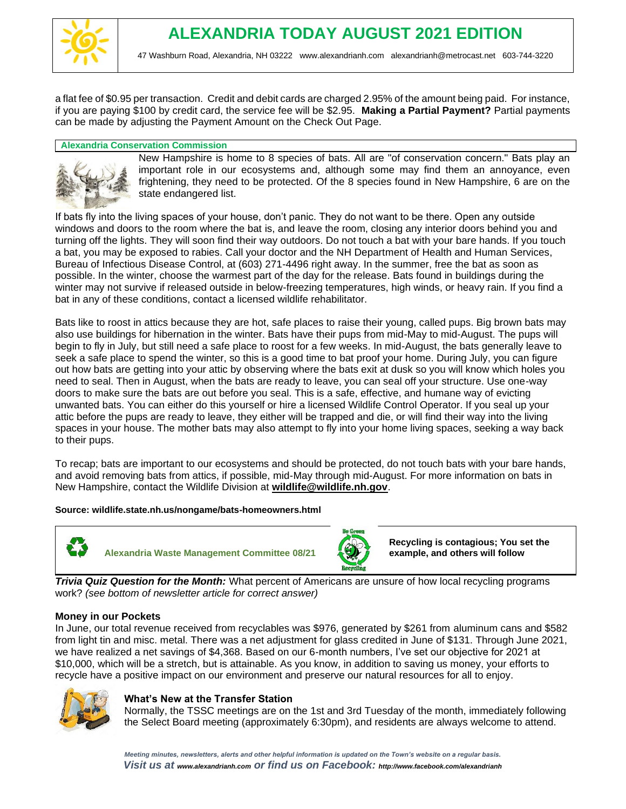

a flat fee of \$0.95 per transaction. Credit and debit cards are charged 2.95% of the amount being paid. For instance, if you are paying \$100 by credit card, the service fee will be \$2.95. **Making a Partial Payment?** Partial payments can be made by adjusting the Payment Amount on the Check Out Page.

### **Alexandria Conservation Commission**



New Hampshire is home to 8 species of bats. All are "of conservation concern." Bats play an important role in our ecosystems and, although some may find them an annoyance, even frightening, they need to be protected. Of the 8 species found in New Hampshire, 6 are on the state endangered list.

If bats fly into the living spaces of your house, don't panic. They do not want to be there. Open any outside windows and doors to the room where the bat is, and leave the room, closing any interior doors behind you and turning off the lights. They will soon find their way outdoors. Do not touch a bat with your bare hands. If you touch a bat, you may be exposed to rabies. Call your doctor and the NH Department of Health and Human Services, Bureau of Infectious Disease Control, at (603) 271-4496 right away. In the summer, free the bat as soon as possible. In the winter, choose the warmest part of the day for the release. Bats found in buildings during the winter may not survive if released outside in below-freezing temperatures, high winds, or heavy rain. If you find a bat in any of these conditions, contact a licensed wildlife rehabilitator.

Bats like to roost in attics because they are hot, safe places to raise their young, called pups. Big brown bats may also use buildings for hibernation in the winter. Bats have their pups from mid-May to mid-August. The pups will begin to fly in July, but still need a safe place to roost for a few weeks. In mid-August, the bats generally leave to seek a safe place to spend the winter, so this is a good time to bat proof your home. During July, you can figure out how bats are getting into your attic by observing where the bats exit at dusk so you will know which holes you need to seal. Then in August, when the bats are ready to leave, you can seal off your structure. Use one-way doors to make sure the bats are out before you seal. This is a safe, effective, and humane way of evicting unwanted bats. You can either do this yourself or hire a licensed Wildlife Control Operator. If you seal up your attic before the pups are ready to leave, they either will be trapped and die, or will find their way into the living spaces in your house. The mother bats may also attempt to fly into your home living spaces, seeking a way back to their pups.

To recap; bats are important to our ecosystems and should be protected, do not touch bats with your bare hands, and avoid removing bats from attics, if possible, mid-May through mid-August. For more information on bats in New Hampshire, contact the Wildlife Division at **[wildlife@wildlife.nh.gov](mailto:wildlife@wildlife.nh.gov)**.

### **Source: wildlife.state.nh.us/nongame/bats-homeowners.html**



**Alexandria Waste Management Committee 08/21** 



**Recycling is contagious; You set the example, and others will follow**

*Trivia Quiz Question for the Month:* What percent of Americans are unsure of how local recycling programs work? *(see bottom of newsletter article for correct answer)* 

### **Money in our Pockets**

In June, our total revenue received from recyclables was \$976, generated by \$261 from aluminum cans and \$582 from light tin and misc. metal. There was a net adjustment for glass credited in June of \$131. Through June 2021, we have realized a net savings of \$4,368. Based on our 6-month numbers, I've set our objective for 2021 at \$10,000, which will be a stretch, but is attainable. As you know, in addition to saving us money, your efforts to recycle have a positive impact on our environment and preserve our natural resources for all to enjoy.



### **What's New at the Transfer Station**

Normally, the TSSC meetings are on the 1st and 3rd Tuesday of the month, immediately following the Select Board meeting (approximately 6:30pm), and residents are always welcome to attend.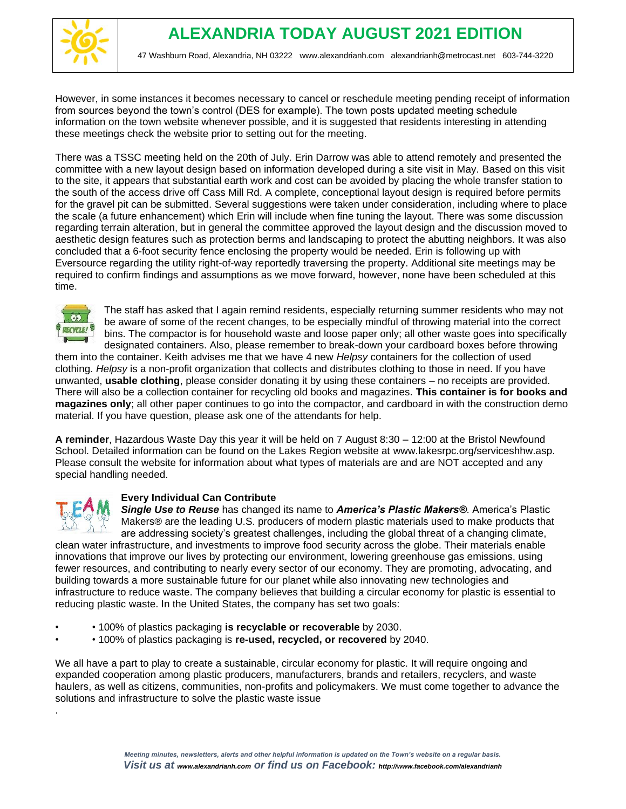

However, in some instances it becomes necessary to cancel or reschedule meeting pending receipt of information from sources beyond the town's control (DES for example). The town posts updated meeting schedule information on the town website whenever possible, and it is suggested that residents interesting in attending these meetings check the website prior to setting out for the meeting.

There was a TSSC meeting held on the 20th of July. Erin Darrow was able to attend remotely and presented the committee with a new layout design based on information developed during a site visit in May. Based on this visit to the site, it appears that substantial earth work and cost can be avoided by placing the whole transfer station to the south of the access drive off Cass Mill Rd. A complete, conceptional layout design is required before permits for the gravel pit can be submitted. Several suggestions were taken under consideration, including where to place the scale (a future enhancement) which Erin will include when fine tuning the layout. There was some discussion regarding terrain alteration, but in general the committee approved the layout design and the discussion moved to aesthetic design features such as protection berms and landscaping to protect the abutting neighbors. It was also concluded that a 6-foot security fence enclosing the property would be needed. Erin is following up with Eversource regarding the utility right-of-way reportedly traversing the property. Additional site meetings may be required to confirm findings and assumptions as we move forward, however, none have been scheduled at this time.



The staff has asked that I again remind residents, especially returning summer residents who may not be aware of some of the recent changes, to be especially mindful of throwing material into the correct bins. The compactor is for household waste and loose paper only; all other waste goes into specifically designated containers. Also, please remember to break-down your cardboard boxes before throwing

them into the container. Keith advises me that we have 4 new *Helpsy* containers for the collection of used clothing. *Helpsy* is a non-profit organization that collects and distributes clothing to those in need. If you have unwanted, **usable clothing**, please consider donating it by using these containers – no receipts are provided. There will also be a collection container for recycling old books and magazines. **This container is for books and magazines only**; all other paper continues to go into the compactor, and cardboard in with the construction demo material. If you have question, please ask one of the attendants for help.

**A reminder**, Hazardous Waste Day this year it will be held on 7 August 8:30 – 12:00 at the Bristol Newfound School. Detailed information can be found on the Lakes Region website at www.lakesrpc.org/serviceshhw.asp. Please consult the website for information about what types of materials are and are NOT accepted and any special handling needed.



.

### **Every Individual Can Contribute**

*Single Use to Reuse* has changed its name to *America's Plastic Makers®*. America's Plastic Makers® are the leading U.S. producers of modern plastic materials used to make products that are addressing society's greatest challenges, including the global threat of a changing climate,

clean water infrastructure, and investments to improve food security across the globe. Their materials enable innovations that improve our lives by protecting our environment, lowering greenhouse gas emissions, using fewer resources, and contributing to nearly every sector of our economy. They are promoting, advocating, and building towards a more sustainable future for our planet while also innovating new technologies and infrastructure to reduce waste. The company believes that building a circular economy for plastic is essential to reducing plastic waste. In the United States, the company has set two goals:

- • 100% of plastics packaging **is recyclable or recoverable** by 2030.
- • 100% of plastics packaging is **re-used, recycled, or recovered** by 2040.

We all have a part to play to create a sustainable, circular economy for plastic. It will require ongoing and expanded cooperation among plastic producers, manufacturers, brands and retailers, recyclers, and waste haulers, as well as citizens, communities, non-profits and policymakers. We must come together to advance the solutions and infrastructure to solve the plastic waste issue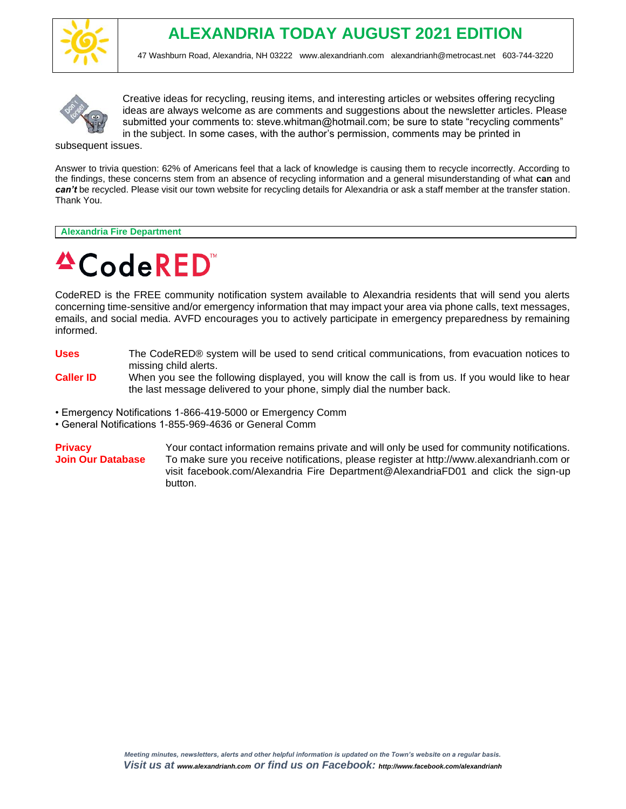



Creative ideas for recycling, reusing items, and interesting articles or websites offering recycling ideas are always welcome as are comments and suggestions about the newsletter articles. Please submitted your comments to: steve.whitman@hotmail.com; be sure to state "recycling comments" in the subject. In some cases, with the author's permission, comments may be printed in

subsequent issues.

Answer to trivia question: 62% of Americans feel that a lack of knowledge is causing them to recycle incorrectly. According to the findings, these concerns stem from an absence of recycling information and a general misunderstanding of what **can** and can't be recycled. Please visit our town website for recycling details for Alexandria or ask a staff member at the transfer station. Thank You.

**Alexandria Fire Department**

# **ACodeRED**

CodeRED is the FREE community notification system available to Alexandria residents that will send you alerts concerning time-sensitive and/or emergency information that may impact your area via phone calls, text messages, emails, and social media. AVFD encourages you to actively participate in emergency preparedness by remaining informed.

- **Uses** The CodeRED® system will be used to send critical communications, from evacuation notices to missing child alerts.
- **Caller ID** When you see the following displayed, you will know the call is from us. If you would like to hear the last message delivered to your phone, simply dial the number back.
- Emergency Notifications 1-866-419-5000 or Emergency Comm
- General Notifications 1-855-969-4636 or General Comm

**Privacy Privacy Privacy Privacy Privacy Privacy Privacy Privacy Privacy Privacy Privacy Privacy Privacy Privacy Privacy Privacy Privacy Privacy Privacy Privacy Privacy Privacy P Join Our Database** To make sure you receive notifications, please register at http://www.alexandrianh.com or visit facebook.com/Alexandria Fire Department@AlexandriaFD01 and click the sign-up button.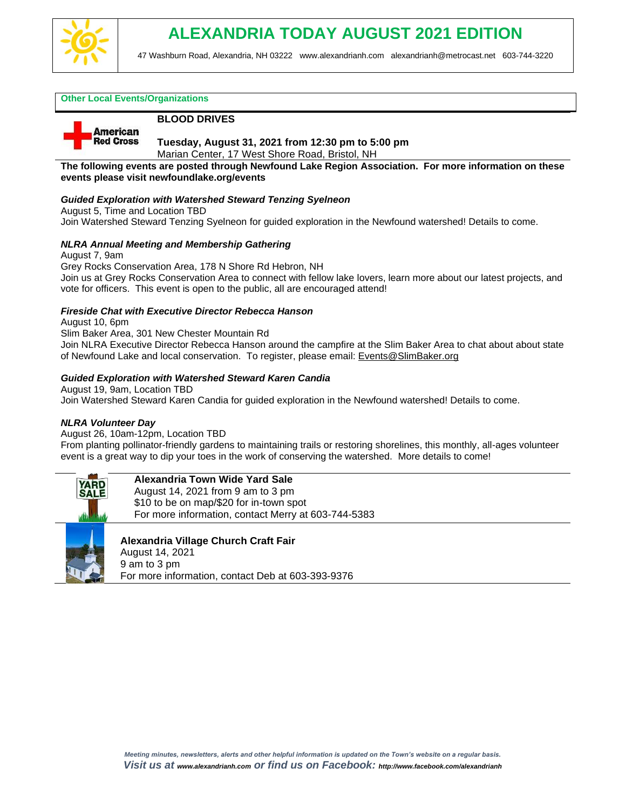

### **Other Local Events/Organizations**

**American Red Cross** 

### **BLOOD DRIVES**

**Tuesday, August 31, 2021 from 12:30 pm to 5:00 pm**

Marian Center, 17 West Shore Road, Bristol, NH

**The following events are posted through Newfound Lake Region Association. For more information on these events please visit newfoundlake.org/events**

### *Guided Exploration with Watershed Steward Tenzing Syelneon*

August 5, Time and Location TBD

Join Watershed Steward Tenzing Syelneon for guided exploration in the Newfound watershed! Details to come.

### *NLRA Annual Meeting and Membership Gathering*

August 7, 9am

Grey Rocks Conservation Area, 178 N Shore Rd Hebron, NH Join us at Grey Rocks Conservation Area to connect with fellow lake lovers, learn more about our latest projects, and vote for officers. This event is open to the public, all are encouraged attend!

### *Fireside Chat with Executive Director Rebecca Hanson*

August 10, 6pm

Slim Baker Area, 301 New Chester Mountain Rd

Join NLRA Executive Director Rebecca Hanson around the campfire at the Slim Baker Area to chat about about state of Newfound Lake and local conservation. To register, please email: [Events@SlimBaker.org](https://newfoundlake.org/events/_wp_link_placeholder)

### *Guided Exploration with Watershed Steward Karen Candia*

August 19, 9am, Location TBD Join Watershed Steward Karen Candia for guided exploration in the Newfound watershed! Details to come.

### *NLRA Volunteer Day*

August 26, 10am-12pm, Location TBD

From planting pollinator-friendly gardens to maintaining trails or restoring shorelines, this monthly, all-ages volunteer event is a great way to dip your toes in the work of conserving the watershed. More details to come!



### **Alexandria Town Wide Yard Sale**

August 14, 2021 from 9 am to 3 pm \$10 to be on map/\$20 for in-town spot For more information, contact Merry at 603-744-5383



### **Alexandria Village Church Craft Fair**

August 14, 2021 9 am to 3 pm For more information, contact Deb at 603-393-9376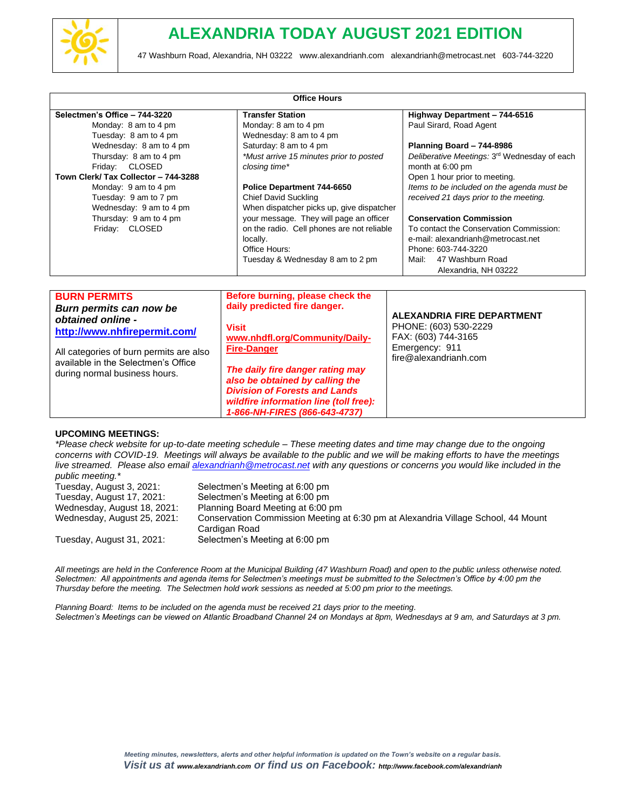

| Selectmen's Office - 744-3220           | <b>Transfer Station</b>                    | Highway Department - 744-6516                                                 |
|-----------------------------------------|--------------------------------------------|-------------------------------------------------------------------------------|
| Monday: 8 am to 4 pm                    | Monday: 8 am to 4 pm                       | Paul Sirard, Road Agent                                                       |
| Tuesday: 8 am to 4 pm                   | Wednesday: 8 am to 4 pm                    |                                                                               |
| Wednesday: 8 am to 4 pm                 | Saturday: 8 am to 4 pm                     | Planning Board - 744-8986                                                     |
| Thursday: 8 am to 4 pm                  | *Must arrive 15 minutes prior to posted    | Deliberative Meetings: 3 <sup>rd</sup> Wednesday of each                      |
| Friday: CLOSED                          | closing time*                              | month at 6:00 pm                                                              |
| Town Clerk/ Tax Collector - 744-3288    |                                            | Open 1 hour prior to meeting.<br>Items to be included on the agenda must be   |
| Monday: 9 am to 4 pm                    | Police Department 744-6650                 |                                                                               |
| Tuesday: 9 am to 7 pm                   | <b>Chief David Suckling</b>                | received 21 days prior to the meeting.                                        |
| Wednesday: 9 am to 4 pm                 | When dispatcher picks up, give dispatcher  |                                                                               |
| Thursday: 9 am to 4 pm                  | your message. They will page an officer    | <b>Conservation Commission</b>                                                |
| Friday: CLOSED                          | on the radio. Cell phones are not reliable | To contact the Conservation Commission:<br>e-mail: alexandrianh@metrocast.net |
|                                         | locally.<br>Office Hours:                  | Phone: 603-744-3220                                                           |
|                                         | Tuesday & Wednesday 8 am to 2 pm           | 47 Washburn Road<br>Mail:                                                     |
|                                         |                                            | Alexandria, NH 03222                                                          |
|                                         |                                            |                                                                               |
| <b>BURN PERMITS</b>                     | Before burning, please check the           |                                                                               |
| Burn permits can now be                 | daily predicted fire danger.               |                                                                               |
| obtained online -                       |                                            | ALEXANDRIA FIRE DEPARTMENT                                                    |
|                                         | <b>Visit</b>                               | PHONE: (603) 530-2229                                                         |
| http://www.nhfirepermit.com/            | www.nhdfl.org/Community/Daily-             | FAX: (603) 744-3165                                                           |
| All categories of burn permits are also | <b>Fire-Danger</b>                         | Emergency: 911                                                                |
| available in the Selectmen's Office     |                                            | fire@alexandrianh.com                                                         |
| during normal business hours.           | The daily fire danger rating may           |                                                                               |
|                                         | also be obtained by calling the            |                                                                               |
|                                         | <b>Division of Forests and Lands</b>       |                                                                               |
|                                         | wildfire information line (toll free):     |                                                                               |
|                                         | 1-866-NH-FIRES (866-643-4737)              |                                                                               |

### **UPCOMING MEETINGS:**

*\*Please check website for up-to-date meeting schedule – These meeting dates and time may change due to the ongoing concerns with COVID-19. Meetings will always be available to the public and we will be making efforts to have the meetings live streamed. Please also email [alexandrianh@metrocast.net](mailto:alexandrianh@metrocast.net) with any questions or concerns you would like included in the public meeting.\**

| Tuesday, August 3, 2021:    | Selectmen's Meeting at 6:00 pm                                                    |
|-----------------------------|-----------------------------------------------------------------------------------|
| Tuesday, August 17, 2021:   | Selectmen's Meeting at 6:00 pm                                                    |
| Wednesday, August 18, 2021: | Planning Board Meeting at 6:00 pm                                                 |
| Wednesday, August 25, 2021: | Conservation Commission Meeting at 6:30 pm at Alexandria Village School, 44 Mount |
|                             | Cardigan Road                                                                     |
| Tuesday, August 31, 2021:   | Selectmen's Meeting at 6:00 pm                                                    |

*All meetings are held in the Conference Room at the Municipal Building (47 Washburn Road) and open to the public unless otherwise noted. Selectmen: All appointments and agenda items for Selectmen's meetings must be submitted to the Selectmen's Office by 4:00 pm the Thursday before the meeting. The Selectmen hold work sessions as needed at 5:00 pm prior to the meetings.*

*Planning Board: Items to be included on the agenda must be received 21 days prior to the meeting. Selectmen's Meetings can be viewed on Atlantic Broadband Channel 24 on Mondays at 8pm, Wednesdays at 9 am, and Saturdays at 3 pm.*